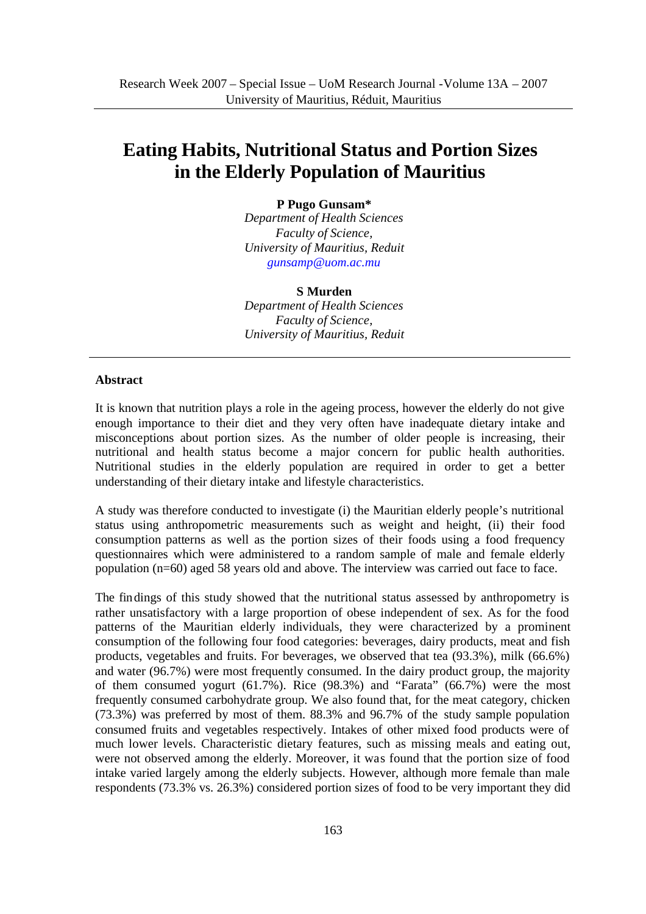# **Eating Habits, Nutritional Status and Portion Sizes in the Elderly Population of Mauritius**

### **P Pugo Gunsam\***

*Department of Health Sciences Faculty of Science, University of Mauritius, Reduit gunsamp@uom.ac.mu*

# **S Murden**

*Department of Health Sciences Faculty of Science, University of Mauritius, Reduit* 

### **Abstract**

It is known that nutrition plays a role in the ageing process, however the elderly do not give enough importance to their diet and they very often have inadequate dietary intake and misconceptions about portion sizes. As the number of older people is increasing, their nutritional and health status become a major concern for public health authorities. Nutritional studies in the elderly population are required in order to get a better understanding of their dietary intake and lifestyle characteristics.

A study was therefore conducted to investigate (i) the Mauritian elderly people's nutritional status using anthropometric measurements such as weight and height, (ii) their food consumption patterns as well as the portion sizes of their foods using a food frequency questionnaires which were administered to a random sample of male and female elderly population (n=60) aged 58 years old and above. The interview was carried out face to face.

The findings of this study showed that the nutritional status assessed by anthropometry is rather unsatisfactory with a large proportion of obese independent of sex. As for the food patterns of the Mauritian elderly individuals, they were characterized by a prominent consumption of the following four food categories: beverages, dairy products, meat and fish products, vegetables and fruits. For beverages, we observed that tea (93.3%), milk (66.6%) and water (96.7%) were most frequently consumed. In the dairy product group, the majority of them consumed yogurt  $(61.7\%)$ . Rice  $(98.3\%)$  and "Farata"  $(66.7\%)$  were the most frequently consumed carbohydrate group. We also found that, for the meat category, chicken (73.3%) was preferred by most of them. 88.3% and 96.7% of the study sample population consumed fruits and vegetables respectively. Intakes of other mixed food products were of much lower levels. Characteristic dietary features, such as missing meals and eating out, were not observed among the elderly. Moreover, it was found that the portion size of food intake varied largely among the elderly subjects. However, although more female than male respondents (73.3% vs. 26.3%) considered portion sizes of food to be very important they did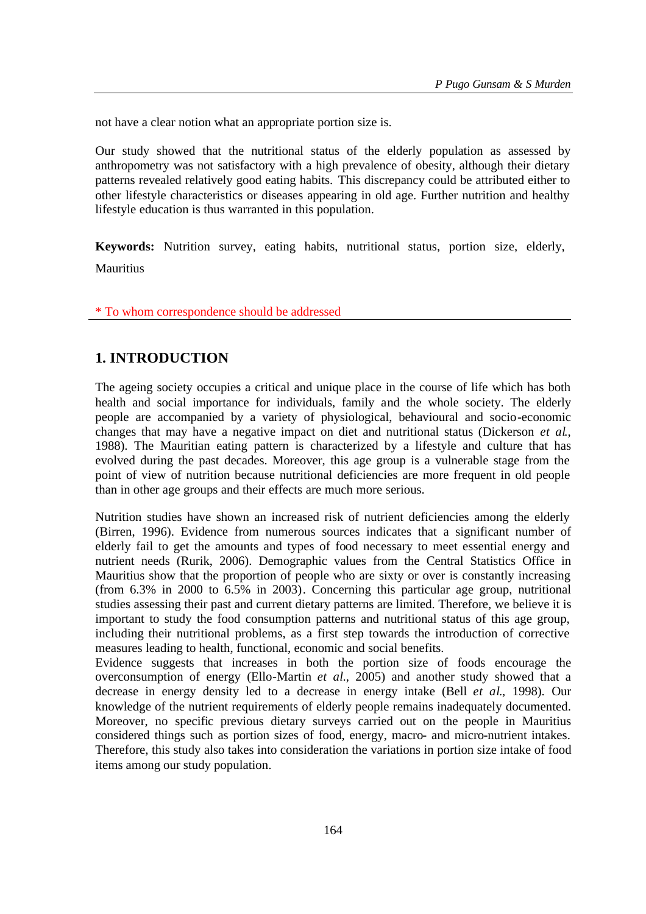not have a clear notion what an appropriate portion size is.

Our study showed that the nutritional status of the elderly population as assessed by anthropometry was not satisfactory with a high prevalence of obesity, although their dietary patterns revealed relatively good eating habits. This discrepancy could be attributed either to other lifestyle characteristics or diseases appearing in old age. Further nutrition and healthy lifestyle education is thus warranted in this population.

**Keywords:** Nutrition survey, eating habits, nutritional status, portion size, elderly, Mauritius

\* To whom correspondence should be addressed

# **1. INTRODUCTION**

The ageing society occupies a critical and unique place in the course of life which has both health and social importance for individuals, family and the whole society. The elderly people are accompanied by a variety of physiological, behavioural and socio-economic changes that may have a negative impact on diet and nutritional status (Dickerson *et al*., 1988). The Mauritian eating pattern is characterized by a lifestyle and culture that has evolved during the past decades. Moreover, this age group is a vulnerable stage from the point of view of nutrition because nutritional deficiencies are more frequent in old people than in other age groups and their effects are much more serious.

Nutrition studies have shown an increased risk of nutrient deficiencies among the elderly (Birren, 1996). Evidence from numerous sources indicates that a significant number of elderly fail to get the amounts and types of food necessary to meet essential energy and nutrient needs (Rurik, 2006). Demographic values from the Central Statistics Office in Mauritius show that the proportion of people who are sixty or over is constantly increasing (from 6.3% in 2000 to 6.5% in 2003). Concerning this particular age group, nutritional studies assessing their past and current dietary patterns are limited. Therefore, we believe it is important to study the food consumption patterns and nutritional status of this age group, including their nutritional problems, as a first step towards the introduction of corrective measures leading to health, functional, economic and social benefits.

Evidence suggests that increases in both the portion size of foods encourage the overconsumption of energy (Ello-Martin *et al*., 2005) and another study showed that a decrease in energy density led to a decrease in energy intake (Bell *et al*., 1998). Our knowledge of the nutrient requirements of elderly people remains inadequately documented. Moreover, no specific previous dietary surveys carried out on the people in Mauritius considered things such as portion sizes of food, energy, macro- and micro-nutrient intakes. Therefore, this study also takes into consideration the variations in portion size intake of food items among our study population.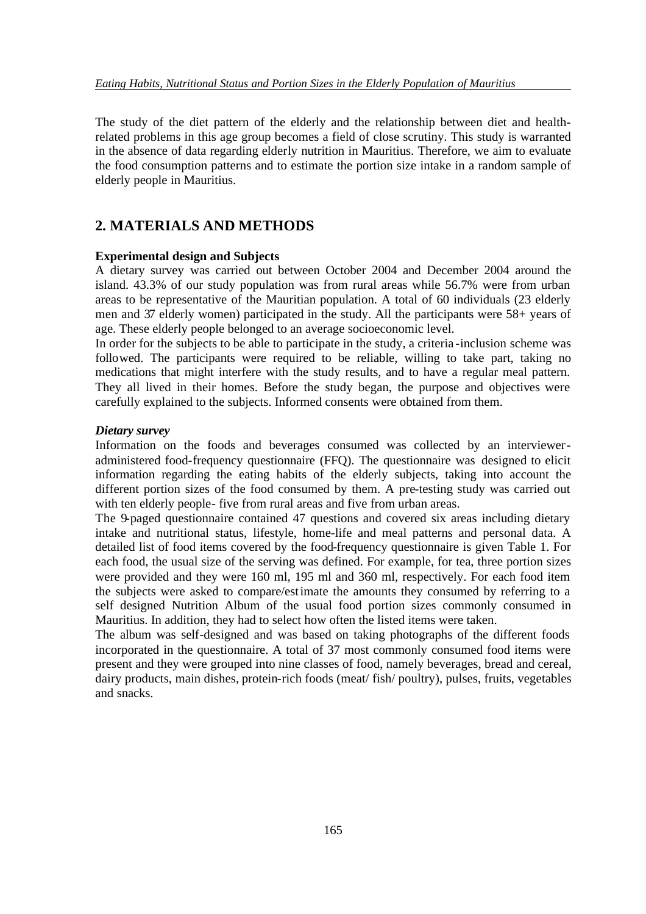The study of the diet pattern of the elderly and the relationship between diet and healthrelated problems in this age group becomes a field of close scrutiny. This study is warranted in the absence of data regarding elderly nutrition in Mauritius. Therefore, we aim to evaluate the food consumption patterns and to estimate the portion size intake in a random sample of elderly people in Mauritius.

### **2. MATERIALS AND METHODS**

### **Experimental design and Subjects**

A dietary survey was carried out between October 2004 and December 2004 around the island. 43.3% of our study population was from rural areas while 56.7% were from urban areas to be representative of the Mauritian population. A total of 60 individuals (23 elderly men and 37 elderly women) participated in the study. All the participants were 58+ years of age. These elderly people belonged to an average socioeconomic level.

In order for the subjects to be able to participate in the study, a criteria -inclusion scheme was followed. The participants were required to be reliable, willing to take part, taking no medications that might interfere with the study results, and to have a regular meal pattern. They all lived in their homes. Before the study began, the purpose and objectives were carefully explained to the subjects. Informed consents were obtained from them.

#### *Dietary survey*

Information on the foods and beverages consumed was collected by an intervieweradministered food-frequency questionnaire (FFQ). The questionnaire was designed to elicit information regarding the eating habits of the elderly subjects, taking into account the different portion sizes of the food consumed by them. A pre-testing study was carried out with ten elderly people- five from rural areas and five from urban areas.

The 9-paged questionnaire contained 47 questions and covered six areas including dietary intake and nutritional status, lifestyle, home-life and meal patterns and personal data. A detailed list of food items covered by the food-frequency questionnaire is given Table 1. For each food, the usual size of the serving was defined. For example, for tea, three portion sizes were provided and they were 160 ml, 195 ml and 360 ml, respectively. For each food item the subjects were asked to compare/estimate the amounts they consumed by referring to a self designed Nutrition Album of the usual food portion sizes commonly consumed in Mauritius. In addition, they had to select how often the listed items were taken.

The album was self-designed and was based on taking photographs of the different foods incorporated in the questionnaire. A total of 37 most commonly consumed food items were present and they were grouped into nine classes of food, namely beverages, bread and cereal, dairy products, main dishes, protein-rich foods (meat/ fish/ poultry), pulses, fruits, vegetables and snacks.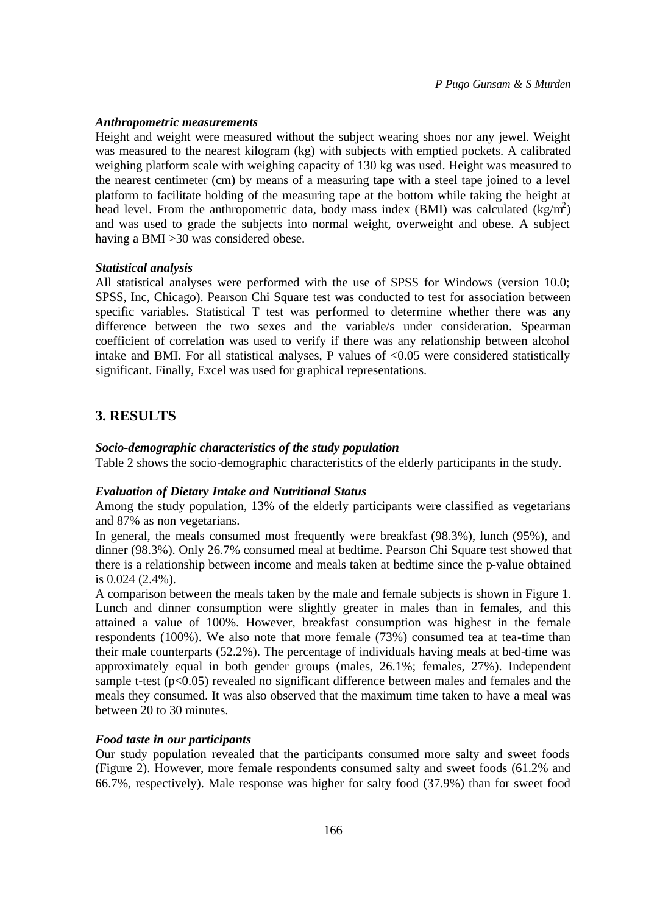### *Anthropometric measurements*

Height and weight were measured without the subject wearing shoes nor any jewel. Weight was measured to the nearest kilogram (kg) with subjects with emptied pockets. A calibrated weighing platform scale with weighing capacity of 130 kg was used. Height was measured to the nearest centimeter (cm) by means of a measuring tape with a steel tape joined to a level platform to facilitate holding of the measuring tape at the bottom while taking the height at head level. From the anthropometric data, body mass index (BMI) was calculated  $(kg/m^2)$ and was used to grade the subjects into normal weight, overweight and obese. A subject having a BMI >30 was considered obese.

### *Statistical analysis*

All statistical analyses were performed with the use of SPSS for Windows (version 10.0; SPSS, Inc, Chicago). Pearson Chi Square test was conducted to test for association between specific variables. Statistical T test was performed to determine whether there was any difference between the two sexes and the variable/s under consideration. Spearman coefficient of correlation was used to verify if there was any relationship between alcohol intake and BMI. For all statistical analyses, P values of  $\langle 0.05 \rangle$  were considered statistically significant. Finally, Excel was used for graphical representations.

## **3. RESULTS**

### *Socio-demographic characteristics of the study population*

Table 2 shows the socio-demographic characteristics of the elderly participants in the study.

### *Evaluation of Dietary Intake and Nutritional Status*

Among the study population, 13% of the elderly participants were classified as vegetarians and 87% as non vegetarians.

In general, the meals consumed most frequently were breakfast (98.3%), lunch (95%), and dinner (98.3%). Only 26.7% consumed meal at bedtime. Pearson Chi Square test showed that there is a relationship between income and meals taken at bedtime since the p-value obtained is 0.024 (2.4%).

A comparison between the meals taken by the male and female subjects is shown in Figure 1. Lunch and dinner consumption were slightly greater in males than in females, and this attained a value of 100%. However, breakfast consumption was highest in the female respondents (100%). We also note that more female (73%) consumed tea at tea-time than their male counterparts (52.2%). The percentage of individuals having meals at bed-time was approximately equal in both gender groups (males, 26.1%; females, 27%). Independent sample t-test  $(p<0.05)$  revealed no significant difference between males and females and the meals they consumed. It was also observed that the maximum time taken to have a meal was between 20 to 30 minutes.

#### *Food taste in our participants*

Our study population revealed that the participants consumed more salty and sweet foods (Figure 2). However, more female respondents consumed salty and sweet foods (61.2% and 66.7%, respectively). Male response was higher for salty food (37.9%) than for sweet food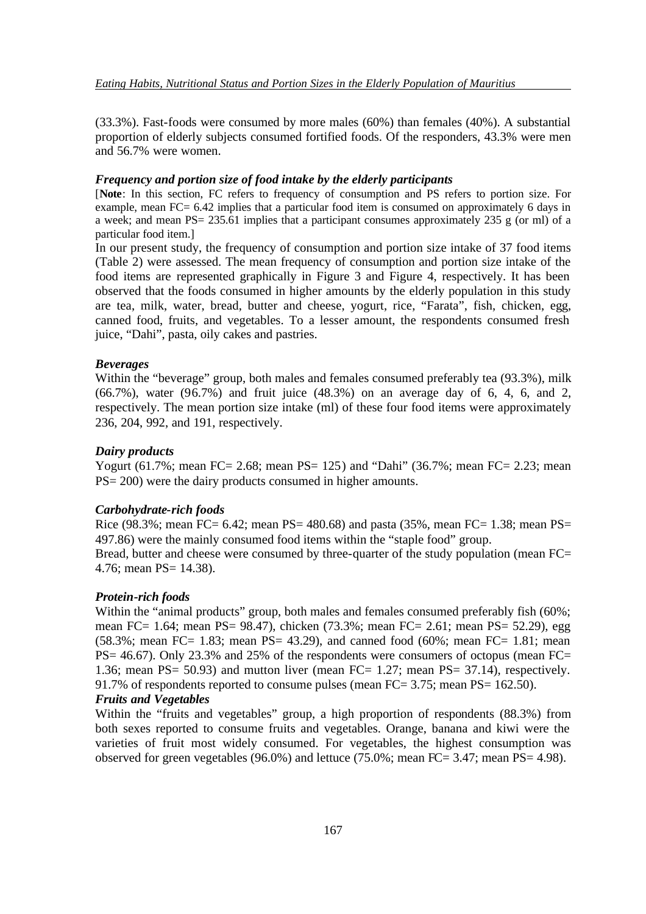(33.3%). Fast-foods were consumed by more males (60%) than females (40%). A substantial proportion of elderly subjects consumed fortified foods. Of the responders, 43.3% were men and 56.7% were women.

#### *Frequency and portion size of food intake by the elderly participants*

[**Note**: In this section, FC refers to frequency of consumption and PS refers to portion size. For example, mean FC= 6.42 implies that a particular food item is consumed on approximately 6 days in a week; and mean PS= 235.61 implies that a participant consumes approximately 235 g (or ml) of a particular food item.]

In our present study, the frequency of consumption and portion size intake of 37 food items (Table 2) were assessed. The mean frequency of consumption and portion size intake of the food items are represented graphically in Figure 3 and Figure 4, respectively. It has been observed that the foods consumed in higher amounts by the elderly population in this study are tea, milk, water, bread, butter and cheese, yogurt, rice, "Farata", fish, chicken, egg, canned food, fruits, and vegetables. To a lesser amount, the respondents consumed fresh juice, "Dahi", pasta, oily cakes and pastries.

#### *Beverages*

Within the "beverage" group, both males and females consumed preferably tea (93.3%), milk (66.7%), water (96.7%) and fruit juice (48.3%) on an average day of 6, 4, 6, and 2, respectively. The mean portion size intake (ml) of these four food items were approximately 236, 204, 992, and 191, respectively.

#### *Dairy products*

Yogurt (61.7%; mean FC= 2.68; mean PS= 125) and "Dahi" (36.7%; mean FC= 2.23; mean PS= 200) were the dairy products consumed in higher amounts.

#### *Carbohydrate-rich foods*

Rice (98.3%; mean FC= 6.42; mean PS= 480.68) and pasta (35%, mean FC= 1.38; mean PS= 497.86) were the mainly consumed food items within the "staple food" group. Bread, butter and cheese were consumed by three-quarter of the study population (mean FC= 4.76; mean PS= 14.38).

#### *Protein-rich foods*

Within the "animal products" group, both males and females consumed preferably fish (60%; mean FC= 1.64; mean PS= 98.47), chicken (73.3%; mean FC= 2.61; mean PS= 52.29), egg (58.3%; mean FC= 1.83; mean PS= 43.29), and canned food (60%; mean FC= 1.81; mean PS= 46.67). Only 23.3% and 25% of the respondents were consumers of octopus (mean FC= 1.36; mean PS= 50.93) and mutton liver (mean FC= 1.27; mean PS= 37.14), respectively. 91.7% of respondents reported to consume pulses (mean FC= 3.75; mean PS= 162.50).

### *Fruits and Vegetables*

Within the "fruits and vegetables" group, a high proportion of respondents (88.3%) from both sexes reported to consume fruits and vegetables. Orange, banana and kiwi were the varieties of fruit most widely consumed. For vegetables, the highest consumption was observed for green vegetables (96.0%) and lettuce (75.0%; mean  $FC = 3.47$ ; mean  $PS = 4.98$ ).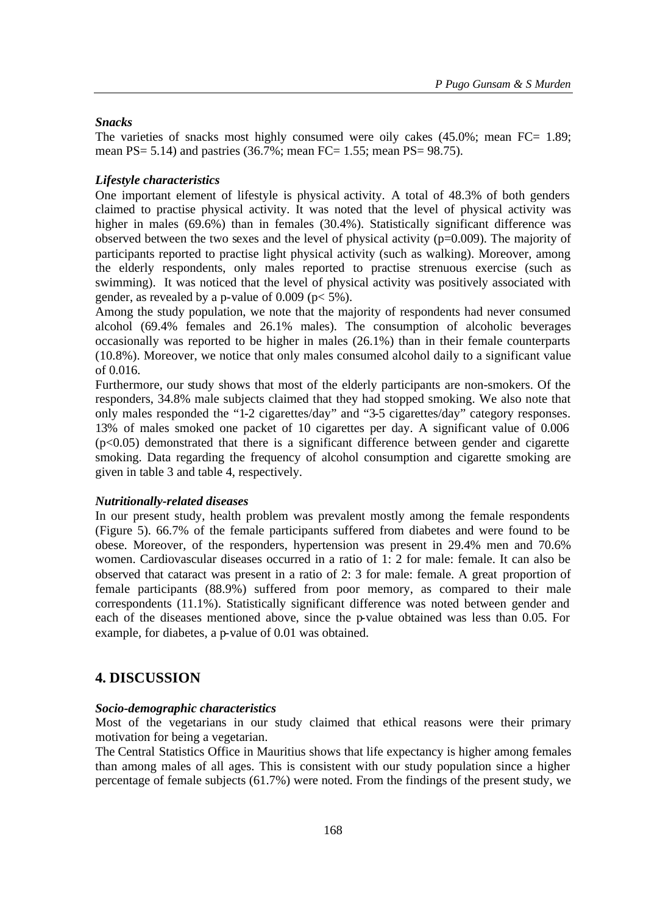### *Snacks*

The varieties of snacks most highly consumed were oily cakes (45.0%; mean FC= 1.89; mean PS= 5.14) and pastries (36.7%; mean FC= 1.55; mean PS= 98.75).

### *Lifestyle characteristics*

One important element of lifestyle is physical activity. A total of 48.3% of both genders claimed to practise physical activity. It was noted that the level of physical activity was higher in males (69.6%) than in females (30.4%). Statistically significant difference was observed between the two sexes and the level of physical activity ( $p=0.009$ ). The majority of participants reported to practise light physical activity (such as walking). Moreover, among the elderly respondents, only males reported to practise strenuous exercise (such as swimming). It was noticed that the level of physical activity was positively associated with gender, as revealed by a p-value of  $0.009$  ( $p < 5\%$ ).

Among the study population, we note that the majority of respondents had never consumed alcohol (69.4% females and 26.1% males). The consumption of alcoholic beverages occasionally was reported to be higher in males (26.1%) than in their female counterparts (10.8%). Moreover, we notice that only males consumed alcohol daily to a significant value of 0.016.

Furthermore, our study shows that most of the elderly participants are non-smokers. Of the responders, 34.8% male subjects claimed that they had stopped smoking. We also note that only males responded the "1-2 cigarettes/day" and "3-5 cigarettes/day" category responses. 13% of males smoked one packet of 10 cigarettes per day. A significant value of 0.006  $(p<0.05)$  demonstrated that there is a significant difference between gender and cigarette smoking. Data regarding the frequency of alcohol consumption and cigarette smoking are given in table 3 and table 4, respectively.

### *Nutritionally-related diseases*

In our present study, health problem was prevalent mostly among the female respondents (Figure 5). 66.7% of the female participants suffered from diabetes and were found to be obese. Moreover, of the responders, hypertension was present in 29.4% men and 70.6% women. Cardiovascular diseases occurred in a ratio of 1: 2 for male: female. It can also be observed that cataract was present in a ratio of 2: 3 for male: female. A great proportion of female participants (88.9%) suffered from poor memory, as compared to their male correspondents (11.1%). Statistically significant difference was noted between gender and each of the diseases mentioned above, since the p-value obtained was less than 0.05. For example, for diabetes, a p-value of 0.01 was obtained.

### **4. DISCUSSION**

### *Socio-demographic characteristics*

Most of the vegetarians in our study claimed that ethical reasons were their primary motivation for being a vegetarian.

The Central Statistics Office in Mauritius shows that life expectancy is higher among females than among males of all ages. This is consistent with our study population since a higher percentage of female subjects (61.7%) were noted. From the findings of the present study, we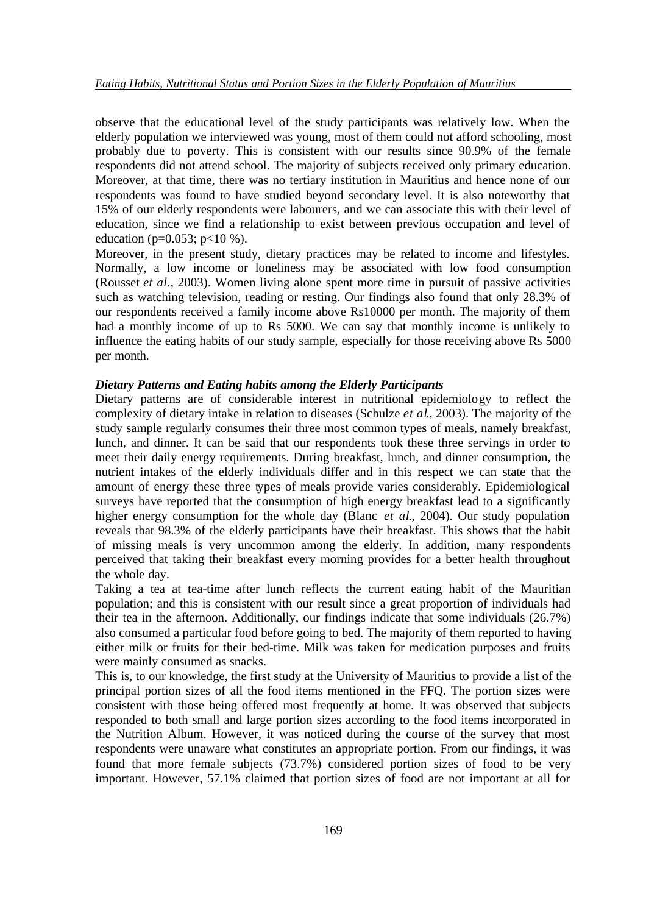observe that the educational level of the study participants was relatively low. When the elderly population we interviewed was young, most of them could not afford schooling, most probably due to poverty. This is consistent with our results since 90.9% of the female respondents did not attend school. The majority of subjects received only primary education. Moreover, at that time, there was no tertiary institution in Mauritius and hence none of our respondents was found to have studied beyond secondary level. It is also noteworthy that 15% of our elderly respondents were labourers, and we can associate this with their level of education, since we find a relationship to exist between previous occupation and level of education ( $p=0.053$ ;  $p<10\%$ ).

Moreover, in the present study, dietary practices may be related to income and lifestyles. Normally, a low income or loneliness may be associated with low food consumption (Rousset *et al*., 2003). Women living alone spent more time in pursuit of passive activities such as watching television, reading or resting. Our findings also found that only 28.3% of our respondents received a family income above Rs10000 per month. The majority of them had a monthly income of up to Rs 5000. We can say that monthly income is unlikely to influence the eating habits of our study sample, especially for those receiving above Rs 5000 per month.

### *Dietary Patterns and Eating habits among the Elderly Participants*

Dietary patterns are of considerable interest in nutritional epidemiology to reflect the complexity of dietary intake in relation to diseases (Schulze *et al*., 2003). The majority of the study sample regularly consumes their three most common types of meals, namely breakfast, lunch, and dinner. It can be said that our respondents took these three servings in order to meet their daily energy requirements. During breakfast, lunch, and dinner consumption, the nutrient intakes of the elderly individuals differ and in this respect we can state that the amount of energy these three types of meals provide varies considerably. Epidemiological surveys have reported that the consumption of high energy breakfast lead to a significantly higher energy consumption for the whole day (Blanc *et al*., 2004). Our study population reveals that 98.3% of the elderly participants have their breakfast. This shows that the habit of missing meals is very uncommon among the elderly. In addition, many respondents perceived that taking their breakfast every morning provides for a better health throughout the whole day.

Taking a tea at tea-time after lunch reflects the current eating habit of the Mauritian population; and this is consistent with our result since a great proportion of individuals had their tea in the afternoon. Additionally, our findings indicate that some individuals (26.7%) also consumed a particular food before going to bed. The majority of them reported to having either milk or fruits for their bed-time. Milk was taken for medication purposes and fruits were mainly consumed as snacks.

This is, to our knowledge, the first study at the University of Mauritius to provide a list of the principal portion sizes of all the food items mentioned in the FFQ. The portion sizes were consistent with those being offered most frequently at home. It was observed that subjects responded to both small and large portion sizes according to the food items incorporated in the Nutrition Album. However, it was noticed during the course of the survey that most respondents were unaware what constitutes an appropriate portion. From our findings, it was found that more female subjects (73.7%) considered portion sizes of food to be very important. However, 57.1% claimed that portion sizes of food are not important at all for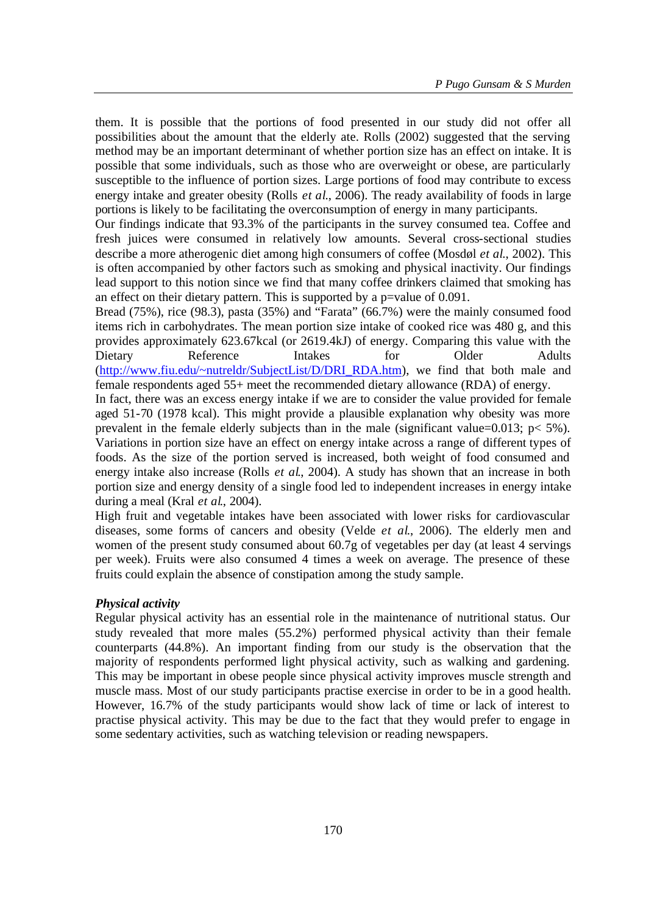them. It is possible that the portions of food presented in our study did not offer all possibilities about the amount that the elderly ate. Rolls (2002) suggested that the serving method may be an important determinant of whether portion size has an effect on intake. It is possible that some individuals, such as those who are overweight or obese, are particularly susceptible to the influence of portion sizes. Large portions of food may contribute to excess energy intake and greater obesity (Rolls *et al*., 2006). The ready availability of foods in large portions is likely to be facilitating the overconsumption of energy in many participants.

Our findings indicate that 93.3% of the participants in the survey consumed tea. Coffee and fresh juices were consumed in relatively low amounts. Several cross-sectional studies describe a more atherogenic diet among high consumers of coffee (Mosdøl *et al*., 2002). This is often accompanied by other factors such as smoking and physical inactivity. Our findings lead support to this notion since we find that many coffee drinkers claimed that smoking has an effect on their dietary pattern. This is supported by a p=value of 0.091.

Bread (75%), rice (98.3), pasta (35%) and "Farata" (66.7%) were the mainly consumed food items rich in carbohydrates. The mean portion size intake of cooked rice was 480 g, and this provides approximately 623.67kcal (or 2619.4kJ) of energy. Comparing this value with the Dietary Reference Intakes for Older Adults (http://www.fiu.edu/~nutreldr/SubjectList/D/DRI\_RDA.htm), we find that both male and female respondents aged 55+ meet the recommended dietary allowance (RDA) of energy.

In fact, there was an excess energy intake if we are to consider the value provided for female aged 51-70 (1978 kcal). This might provide a plausible explanation why obesity was more prevalent in the female elderly subjects than in the male (significant value=0.013;  $p < 5\%$ ). Variations in portion size have an effect on energy intake across a range of different types of foods. As the size of the portion served is increased, both weight of food consumed and energy intake also increase (Rolls *et al*., 2004). A study has shown that an increase in both portion size and energy density of a single food led to independent increases in energy intake during a meal (Kral *et al*., 2004).

High fruit and vegetable intakes have been associated with lower risks for cardiovascular diseases, some forms of cancers and obesity (Velde *et al*., 2006). The elderly men and women of the present study consumed about 60.7g of vegetables per day (at least 4 servings per week). Fruits were also consumed 4 times a week on average. The presence of these fruits could explain the absence of constipation among the study sample.

### *Physical activity*

Regular physical activity has an essential role in the maintenance of nutritional status. Our study revealed that more males (55.2%) performed physical activity than their female counterparts (44.8%). An important finding from our study is the observation that the majority of respondents performed light physical activity, such as walking and gardening. This may be important in obese people since physical activity improves muscle strength and muscle mass. Most of our study participants practise exercise in order to be in a good health. However, 16.7% of the study participants would show lack of time or lack of interest to practise physical activity. This may be due to the fact that they would prefer to engage in some sedentary activities, such as watching television or reading newspapers.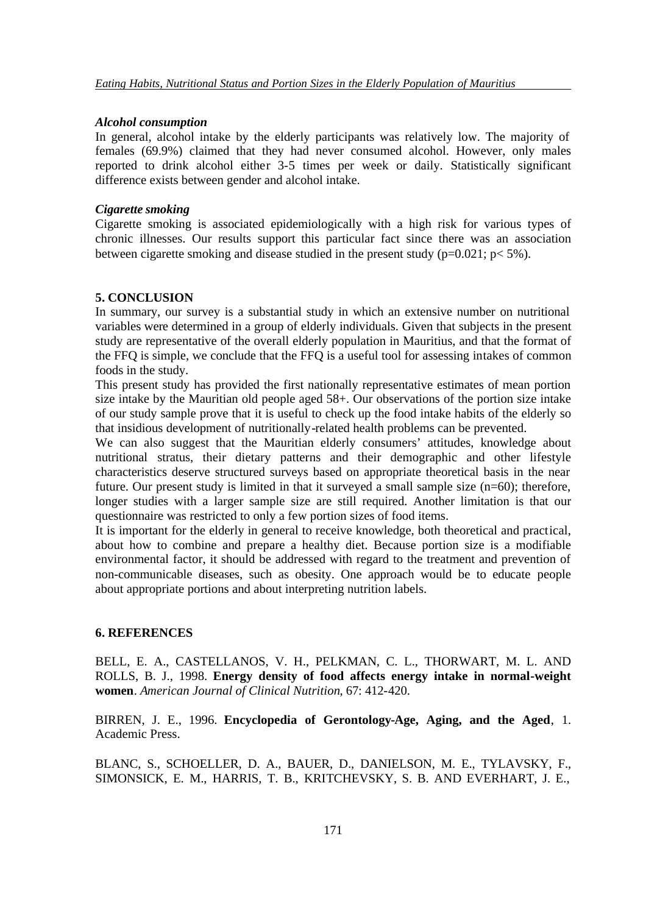#### *Alcohol consumption*

In general, alcohol intake by the elderly participants was relatively low. The majority of females (69.9%) claimed that they had never consumed alcohol. However, only males reported to drink alcohol either 3-5 times per week or daily. Statistically significant difference exists between gender and alcohol intake.

### *Cigarette smoking*

Cigarette smoking is associated epidemiologically with a high risk for various types of chronic illnesses. Our results support this particular fact since there was an association between cigarette smoking and disease studied in the present study ( $p=0.021$ ;  $p<5\%$ ).

#### **5. CONCLUSION**

In summary, our survey is a substantial study in which an extensive number on nutritional variables were determined in a group of elderly individuals. Given that subjects in the present study are representative of the overall elderly population in Mauritius, and that the format of the FFQ is simple, we conclude that the FFQ is a useful tool for assessing intakes of common foods in the study.

This present study has provided the first nationally representative estimates of mean portion size intake by the Mauritian old people aged 58+. Our observations of the portion size intake of our study sample prove that it is useful to check up the food intake habits of the elderly so that insidious development of nutritionally-related health problems can be prevented.

We can also suggest that the Mauritian elderly consumers' attitudes, knowledge about nutritional stratus, their dietary patterns and their demographic and other lifestyle characteristics deserve structured surveys based on appropriate theoretical basis in the near future. Our present study is limited in that it surveyed a small sample size (n=60); therefore, longer studies with a larger sample size are still required. Another limitation is that our questionnaire was restricted to only a few portion sizes of food items.

It is important for the elderly in general to receive knowledge, both theoretical and practical, about how to combine and prepare a healthy diet. Because portion size is a modifiable environmental factor, it should be addressed with regard to the treatment and prevention of non-communicable diseases, such as obesity. One approach would be to educate people about appropriate portions and about interpreting nutrition labels.

### **6. REFERENCES**

BELL, E. A., CASTELLANOS, V. H., PELKMAN, C. L., THORWART, M. L. AND ROLLS, B. J., 1998. **Energy density of food affects energy intake in normal-weight women**. *American Journal of Clinical Nutrition*, 67: 412-420.

BIRREN, J. E., 1996. **Encyclopedia of Gerontology-Age, Aging, and the Aged**, 1. Academic Press.

BLANC, S., SCHOELLER, D. A., BAUER, D., DANIELSON, M. E., TYLAVSKY, F., SIMONSICK, E. M., HARRIS, T. B., KRITCHEVSKY, S. B. AND EVERHART, J. E.,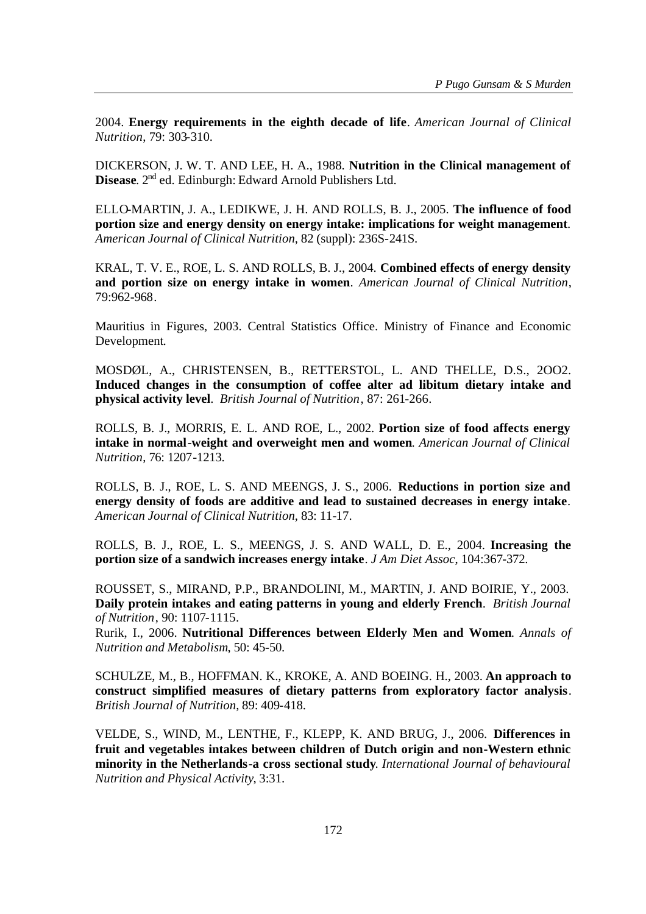2004. **Energy requirements in the eighth decade of life**. *American Journal of Clinical Nutrition*, 79: 303-310.

DICKERSON, J. W. T. AND LEE, H. A., 1988. **Nutrition in the Clinical management of Disease**. 2nd ed. Edinburgh: Edward Arnold Publishers Ltd.

ELLO-MARTIN, J. A., LEDIKWE, J. H. AND ROLLS, B. J., 2005. **The influence of food portion size and energy density on energy intake: implications for weight management**. *American Journal of Clinical Nutrition*, 82 (suppl): 236S-241S.

KRAL, T. V. E., ROE, L. S. AND ROLLS, B. J., 2004. **Combined effects of energy density and portion size on energy intake in women**. *American Journal of Clinical Nutrition*, 79:962-968.

Mauritius in Figures, 2003. Central Statistics Office. Ministry of Finance and Economic Development.

MOSDØL, A., CHRISTENSEN, B., RETTERSTOL, L. AND THELLE, D.S., 2OO2. **Induced changes in the consumption of coffee alter ad libitum dietary intake and physical activity level**. *British Journal of Nutrition*, 87: 261-266.

ROLLS, B. J., MORRIS, E. L. AND ROE, L., 2002. **Portion size of food affects energy intake in normal-weight and overweight men and women**. *American Journal of Clinical Nutrition*, 76: 1207-1213.

ROLLS, B. J., ROE, L. S. AND MEENGS, J. S., 2006. **Reductions in portion size and energy density of foods are additive and lead to sustained decreases in energy intake**. *American Journal of Clinical Nutrition*, 83: 11-17.

ROLLS, B. J., ROE, L. S., MEENGS, J. S. AND WALL, D. E., 2004. **Increasing the portion size of a sandwich increases energy intake**. *J Am Diet Assoc*, 104:367-372.

ROUSSET, S., MIRAND, P.P., BRANDOLINI, M., MARTIN, J. AND BOIRIE, Y., 2003. **Daily protein intakes and eating patterns in young and elderly French**. *British Journal of Nutrition*, 90: 1107-1115.

Rurik, I., 2006. **Nutritional Differences between Elderly Men and Women**. *Annals of Nutrition and Metabolism*, 50: 45-50.

SCHULZE, M., B., HOFFMAN. K., KROKE, A. AND BOEING. H., 2003. **An approach to construct simplified measures of dietary patterns from exploratory factor analysis**. *British Journal of Nutrition*, 89: 409-418.

VELDE, S., WIND, M., LENTHE, F., KLEPP, K. AND BRUG, J., 2006. **Differences in fruit and vegetables intakes between children of Dutch origin and non-Western ethnic minority in the Netherlands-a cross sectional study**. *International Journal of behavioural Nutrition and Physical Activity*, 3:31.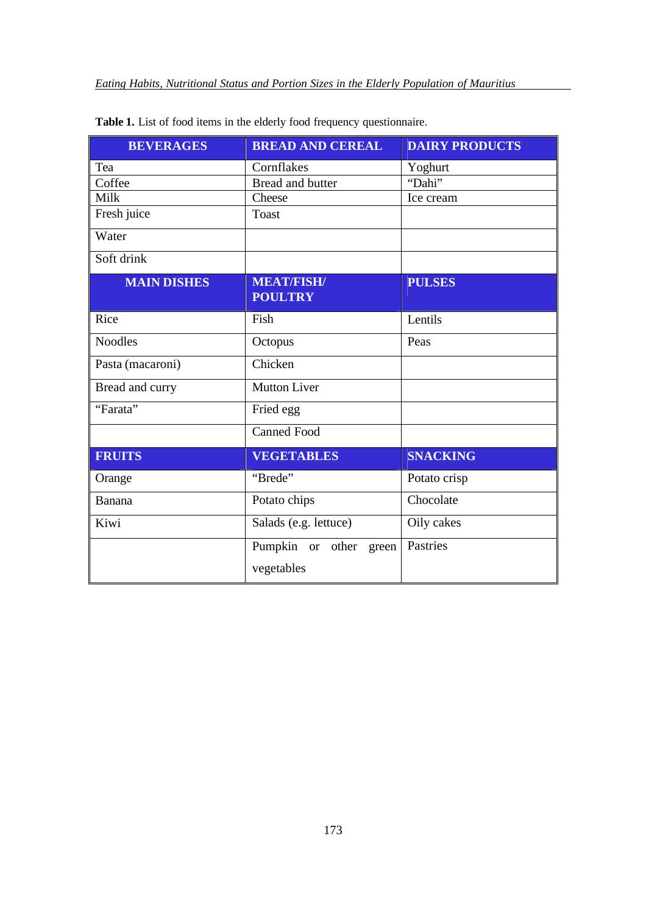| <b>BEVERAGES</b>   | <b>BREAD AND CEREAL</b>                 | <b>DAIRY PRODUCTS</b> |
|--------------------|-----------------------------------------|-----------------------|
| Tea                | Cornflakes                              | Yoghurt               |
| Coffee             | Bread and butter                        | "Dahi"                |
| Milk               | Cheese                                  | Ice cream             |
| Fresh juice        | <b>Toast</b>                            |                       |
| Water              |                                         |                       |
| Soft drink         |                                         |                       |
| <b>MAIN DISHES</b> | <b>MEAT/FISH/</b><br><b>POULTRY</b>     | <b>PULSES</b>         |
| Rice               | Fish                                    | Lentils               |
| <b>Noodles</b>     | Octopus                                 | Peas                  |
| Pasta (macaroni)   | Chicken                                 |                       |
| Bread and curry    | <b>Mutton Liver</b>                     |                       |
| "Farata"           | Fried egg                               |                       |
|                    | <b>Canned Food</b>                      |                       |
| <b>FRUITS</b>      | <b>VEGETABLES</b>                       | <b>SNACKING</b>       |
| Orange             | "Brede"                                 | Potato crisp          |
| Banana             | Potato chips                            | Chocolate             |
| Kiwi               | Salads (e.g. lettuce)                   | Oily cakes            |
|                    | Pumpkin or other<br>green<br>vegetables | Pastries              |

**Table 1.** List of food items in the elderly food frequency questionnaire.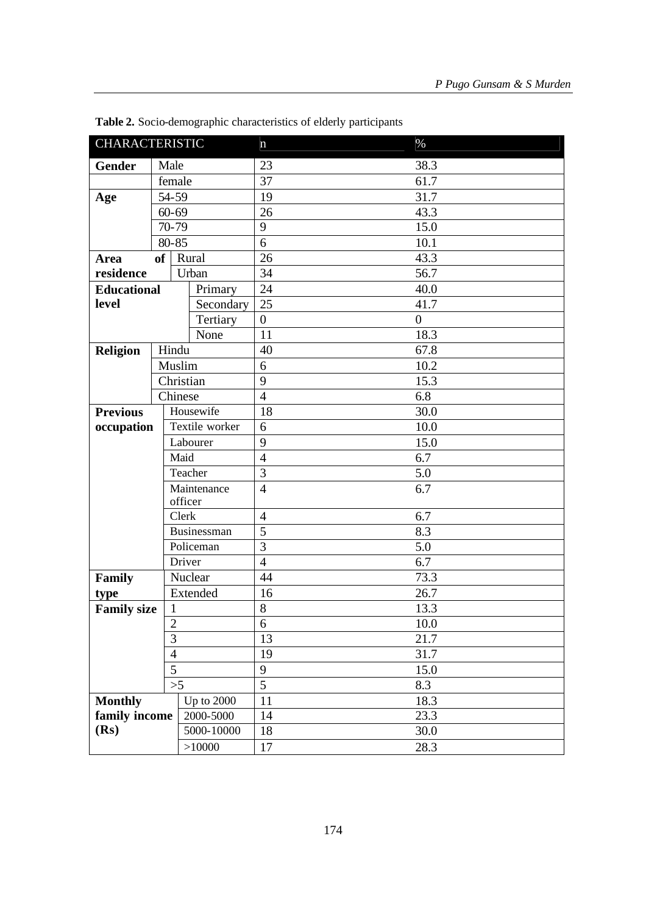| <b>CHARACTERISTIC</b> |                |                        | $\mathbf n$    | $\%$             |
|-----------------------|----------------|------------------------|----------------|------------------|
| <b>Gender</b>         | Male           |                        | 23             | 38.3             |
|                       | female         |                        | 37             | 61.7             |
| Age                   | 54-59          |                        | 19             | 31.7             |
|                       | $60 - 69$      |                        | 26             | 43.3             |
|                       | 70-79          |                        | 9              | 15.0             |
|                       | 80-85          |                        | 6              | 10.1             |
| Area                  | <sub>of</sub>  | Rural                  | 26             | 43.3             |
| residence             |                | Urban                  | 34             | 56.7             |
| <b>Educational</b>    |                | Primary                | 24             | 40.0             |
| level                 |                | Secondary              | 25             | 41.7             |
|                       |                | Tertiary               | $\overline{0}$ | $\boldsymbol{0}$ |
|                       |                | None                   | 11             | 18.3             |
| <b>Religion</b>       | Hindu          |                        | 40             | 67.8             |
|                       | Muslim         |                        | 6              | 10.2             |
|                       |                | Christian              | 9              | 15.3             |
|                       |                | Chinese                | $\overline{4}$ | 6.8              |
| <b>Previous</b>       | Housewife      |                        | 18             | 30.0             |
| occupation            | Textile worker |                        | 6              | 10.0             |
|                       |                | Labourer               | 9              | 15.0             |
|                       |                | Maid                   | $\overline{4}$ | 6.7              |
|                       |                | Teacher                | 3              | 5.0              |
|                       |                | Maintenance<br>officer | $\overline{4}$ | 6.7              |
|                       |                | Clerk                  | $\overline{4}$ | 6.7              |
|                       |                | Businessman            | $\overline{5}$ | 8.3              |
|                       | Policeman      |                        | 3              | 5.0              |
|                       | Driver         |                        | $\overline{4}$ | 6.7              |
| Family                |                | Nuclear                | 44             | 73.3             |
| type                  |                | Extended               | 16             | 26.7             |
| <b>Family size</b>    | $\mathbf{1}$   |                        | 8              | 13.3             |
|                       | 2              |                        | 6              | 10.0             |
|                       | 3              |                        | 13             | 21.7             |
|                       | $\overline{4}$ |                        | 19             | 31.7             |
|                       | 5              |                        | 9              | 15.0             |
|                       |                | >5                     | 5              | 8.3              |
| <b>Monthly</b>        |                | <b>Up to 2000</b>      | 11             | 18.3             |
| family income         |                | 2000-5000              | 14             | 23.3             |
| (Rs)                  |                | 5000-10000             | 18             | 30.0             |
|                       |                | >10000                 | 17             | 28.3             |

**Table 2.** Socio-demographic characteristics of elderly participants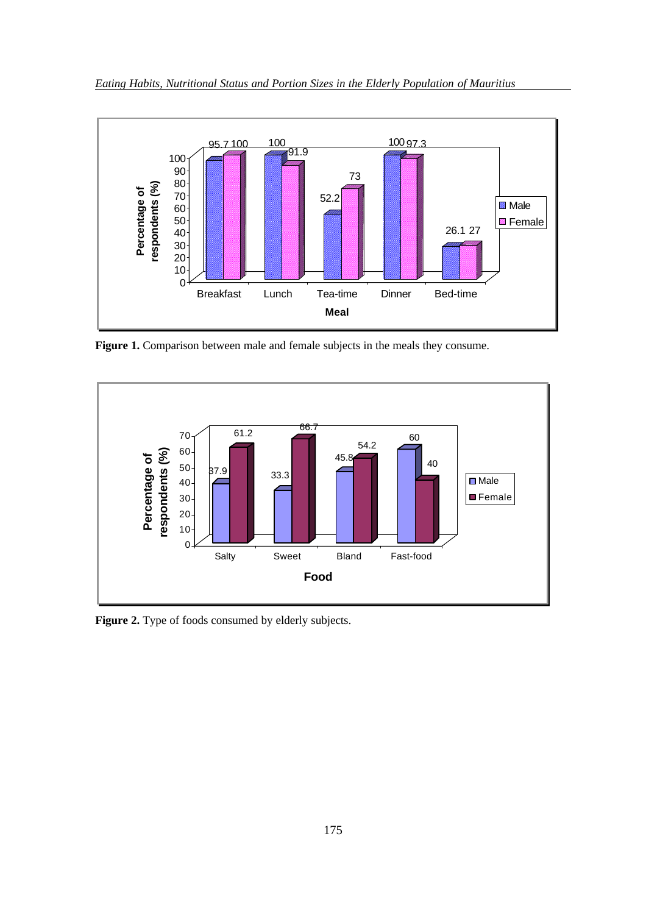

Figure 1. Comparison between male and female subjects in the meals they consume.



Figure 2. Type of foods consumed by elderly subjects.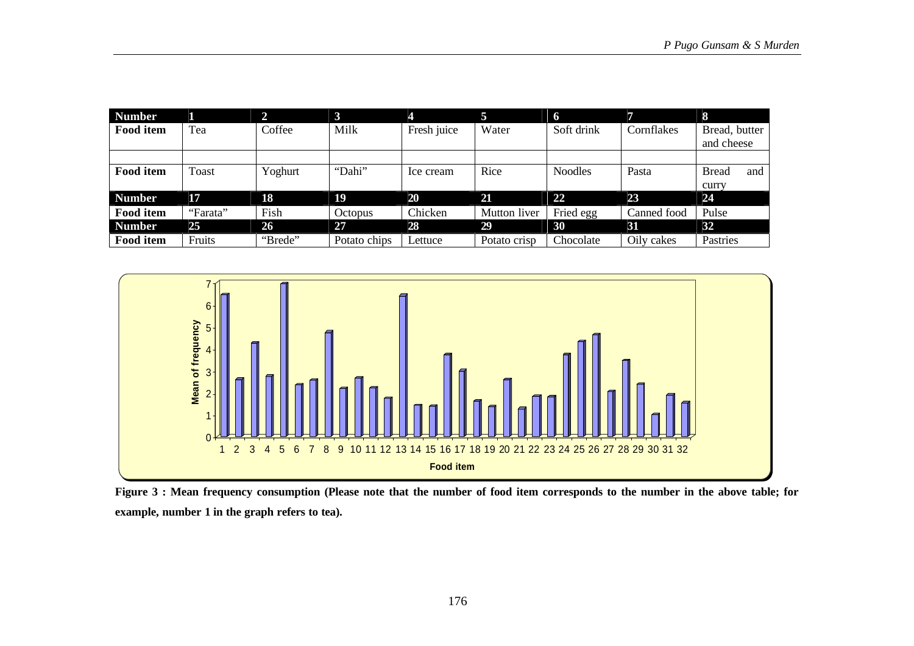| <b>Number</b> |          | 2.      | $\bf{3}$       | 4           | 5               | 6              |             | 8                   |
|---------------|----------|---------|----------------|-------------|-----------------|----------------|-------------|---------------------|
| Food item     | Tea      | Coffee  | Milk           | Fresh juice | Water           | Soft drink     | Cornflakes  | Bread, butter       |
|               |          |         |                |             |                 |                |             | and cheese          |
|               |          |         |                |             |                 |                |             |                     |
| Food item     | Toast    | Yoghurt | "Dahi"         | Ice cream   | Rice            | <b>Noodles</b> | Pasta       | <b>Bread</b><br>and |
|               |          |         |                |             |                 |                |             | curry               |
| <b>Number</b> | 17       | 18      | 19             | 20          | $\overline{21}$ | $22$           | 23          | 24                  |
| Food item     | "Farata" | Fish    | <b>Octopus</b> | Chicken     | Mutton liver    | Fried egg      | Canned food | Pulse               |
| <b>Number</b> | 25       | 26      | 27             | 28          | 29              | 30             | 31          | 32                  |
| Food item     | Fruits   | "Brede" | Potato chips   | Lettuce     | Potato crisp    | Chocolate      | Oily cakes  | Pastries            |



**Figure 3 : Mean frequency consumption (Please note that the number of food item corresponds to the number in the above table; for example, number 1 in the graph refers to tea).**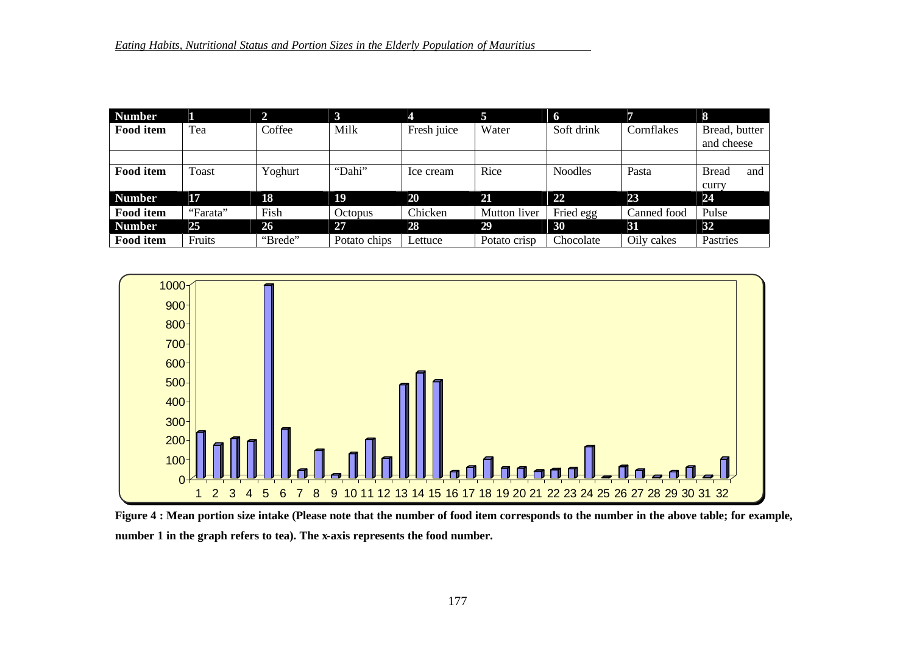| <b>Number</b>    |          |         | 3              | 4           | 5            | 6              |             | 8                   |
|------------------|----------|---------|----------------|-------------|--------------|----------------|-------------|---------------------|
| <b>Food item</b> | Tea      | Coffee  | Milk           | Fresh juice | Water        | Soft drink     | Cornflakes  | Bread, butter       |
|                  |          |         |                |             |              |                |             | and cheese          |
|                  |          |         |                |             |              |                |             |                     |
| <b>Food item</b> | Toast    | Yoghurt | "Dahi"         | Ice cream   | Rice         | <b>Noodles</b> | Pasta       | <b>Bread</b><br>and |
|                  |          |         |                |             |              |                |             | curry               |
| <b>Number</b>    | 17       | 18      | 19             | 20          | 21           | 22             | 23          | 24                  |
| Food item        | "Farata" | Fish    | <b>Octopus</b> | Chicken     | Mutton liver | Fried egg      | Canned food | Pulse               |
| <b>Number</b>    | 25       | 26      | 27             | 28          | 29           | 30             | 31          | 32                  |
| <b>Food item</b> | Fruits   | "Brede" | Potato chips   | Lettuce     | Potato crisp | Chocolate      | Oily cakes  | Pastries            |



**Figure 4 : Mean portion size intake (Please note that the number of food item corresponds to the number in the above table; for example, number 1 in the graph refers to tea). The x-axis represents the food number.**